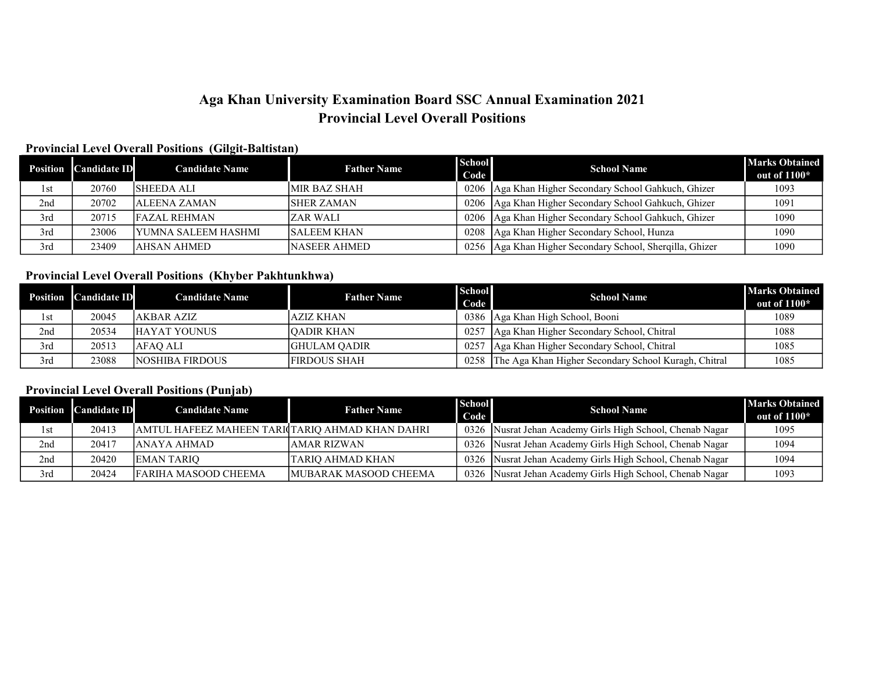# Aga Khan University Examination Board SSC Annual Examination 2021 Provincial Level Overall Positions

### Provincial Level Overall Positions (Gilgit-Baltistan)

|     | <b>Position Candidate ID</b> | <b>Candidate Name</b>       | <b>Father Name</b> | <b>School</b> | <b>School Name</b>                                         | <b>Marks Obtained</b> |
|-----|------------------------------|-----------------------------|--------------------|---------------|------------------------------------------------------------|-----------------------|
|     |                              |                             |                    | Code          |                                                            | out of $1100*$        |
| 1st | 20760                        | <b>SHEEDA ALI</b>           | IMIR BAZ SHAH      | 0206          | Aga Khan Higher Secondary School Gahkuch, Ghizer           | 1093                  |
| 2nd | 20702                        | <b>JALEENA ZAMAN</b>        | <b>ISHER ZAMAN</b> |               | 0206   Aga Khan Higher Secondary School Gahkuch, Ghizer    | 1091                  |
| 3rd | 20715                        | <b>FAZAL REHMAN</b>         | IZAR WALI          | 0206          | Aga Khan Higher Secondary School Gahkuch, Ghizer           | 1090                  |
| 3rd | 23006                        | <b>IYUMNA SALEEM HASHMI</b> | <b>SALEEM KHAN</b> | 0208          | Aga Khan Higher Secondary School, Hunza                    | 1090                  |
| 3rd | 23409                        | <b>AHSAN AHMED</b>          | INASEER AHMED      |               | 0256   Aga Khan Higher Secondary School, Sherqilla, Ghizer | 1090                  |

## Provincial Level Overall Positions (Khyber Pakhtunkhwa)

|     | <b>Position Candidate ID</b> | <b>Candidate Name</b>  | <b>Father Name</b>   | <b>School</b><br>Code | <b>School Name</b>                                   | <b>Marks Obtained</b><br>out of $1100*$ |
|-----|------------------------------|------------------------|----------------------|-----------------------|------------------------------------------------------|-----------------------------------------|
| 1st | 20045                        | lakbar aziz            | laziz khan           | 0386                  | Aga Khan High School, Booni                          | 1089                                    |
| 2nd | 20534                        | <b>HAYAT YOUNUS</b>    | <b>JOADIR KHAN</b>   | 0257                  | Aga Khan Higher Secondary School, Chitral            | 1088                                    |
| 3rd | 20513                        | AFAO ALI               | <b>IGHULAM OADIR</b> | 0257                  | Aga Khan Higher Secondary School, Chitral            | 1085                                    |
| 3rd | 23088                        | <b>NOSHIBA FIRDOUS</b> | <b>FIRDOUS SHAH</b>  | 0258                  | The Aga Khan Higher Secondary School Kuragh, Chitral | 1085                                    |

### Provincial Level Overall Positions (Punjab)

|     | <b>Position</b> Candidate ID | <b>Candidate Name</b>                           | <b>Father Name</b>            | <b>School</b><br>Code | <b>School Name</b>                                   | <b>Marks Obtained</b><br>out of $1100*$ |
|-----|------------------------------|-------------------------------------------------|-------------------------------|-----------------------|------------------------------------------------------|-----------------------------------------|
| 1st | 20413                        | AMTUL HAFEEZ MAHEEN TARICTARIO AHMAD KHAN DAHRI |                               | 0326                  | Nusrat Jehan Academy Girls High School, Chenab Nagar | 1095                                    |
| 2nd | 20417                        | lanaya ahmad                                    | JAMAR RIZWAN                  | 0326                  | Nusrat Jehan Academy Girls High School, Chenab Nagar | 1094                                    |
| 2nd | 20420                        | <b>EMAN TARIO</b>                               | ITARIO AHMAD KHAN             | 0326                  | Nusrat Jehan Academy Girls High School, Chenab Nagar | 1094                                    |
| 3rd | 20424                        | <b>FARIHA MASOOD CHEEMA</b>                     | <b>IMUBARAK MASOOD CHEEMA</b> | 0326                  | Nusrat Jehan Academy Girls High School, Chenab Nagar | 1093                                    |